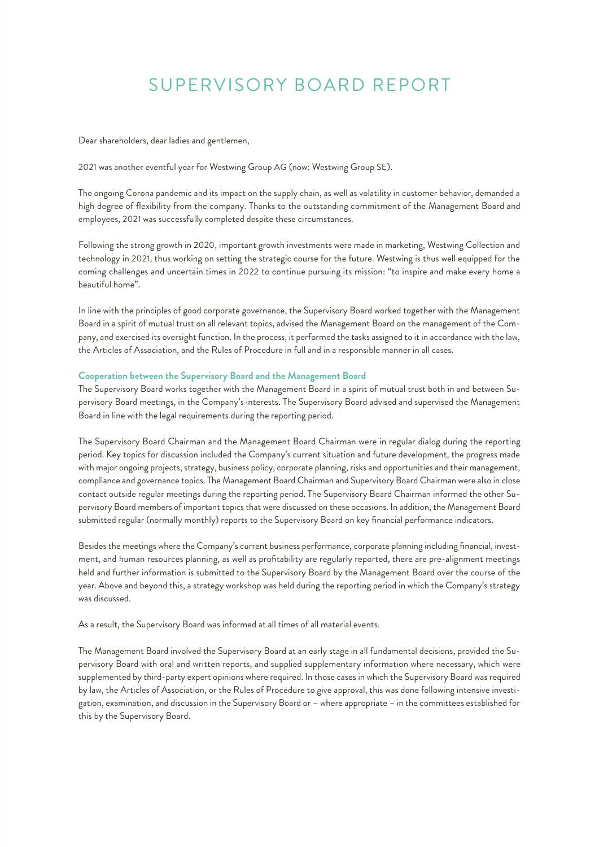# SUPERVISORY BOARD REPORT

Dear shareholders, dear ladies and gentlemen,

2021 was another eventful year for Westwing Group AG (now: Westwing Group SE).

The ongoing Corona pandemic and its impact on the supply chain, as well as volatility in customer behavior, demanded a high degree of flexibility from the company. Thanks to the outstanding commitment of the Management Board and employees, 2021 was successfully completed despite these circumstances.

Following the strong growth in 2020, important growth investments were made in marketing, Westwing Collection and technology in 2021, thus working on setting the strategic course for the future. Westwing is thus well equipped for the coming challenges and uncertain times in 2022 to continue pursuing its mission: "to inspire and make every home a beautiful home".

In line with the principles of good corporate governance, the Supervisory Board worked together with the Management Board in a spirit of mutual trust on all relevant topics, advised the Management Board on the management of the Company, and exercised its oversight function. In the process, it performed the tasks assigned to it in accordance with the law, the Articles of Association, and the Rules of Procedure in full and in a responsible manner in all cases.

## **Cooperation between the Supervisory Board and the Management Board**

The Supervisory Board works together with the Management Board in a spirit of mutual trust both in and between Supervisory Board meetings, in the Company's interests. The Supervisory Board advised and supervised the Management Board in line with the legal requirements during the reporting period.

The Supervisory Board Chairman and the Management Board Chairman were in regular dialog during the reporting period. Key topics for discussion included the Company's current situation and future development, the progress made with major ongoing projects, strategy, business policy, corporate planning, risks and opportunities and their management, compliance and governance topics. The Management Board Chairman and Supervisory Board Chairman were also in close contact outside regular meetings during the reporting period. The Supervisory Board Chairman informed the other Supervisory Board members of important topics that were discussed on these occasions. In addition, the Management Board submitted regular (normally monthly) reports to the Supervisory Board on key financial performance indicators.

Besides the meetings where the Company's current business performance, corporate planning including financial, investment, and human resources planning, as well as profitability are regularly reported, there are pre-alignment meetings held and further information is submitted to the Supervisory Board by the Management Board over the course of the year. Above and beyond this, a strategy workshop was held during the reporting period in which the Company's strategy was discussed.

As a result, the Supervisory Board was informed at all times of all material events.

The Management Board involved the Supervisory Board at an early stage in all fundamental decisions, provided the Supervisory Board with oral and written reports, and supplied supplementary information where necessary, which were supplemented by third-party expert opinions where required. In those cases in which the Supervisory Board was required by law, the Articles of Association, or the Rules of Procedure to give approval, this was done following intensive investigation, examination, and discussion in the Supervisory Board or – where appropriate – in the committees established for this by the Supervisory Board.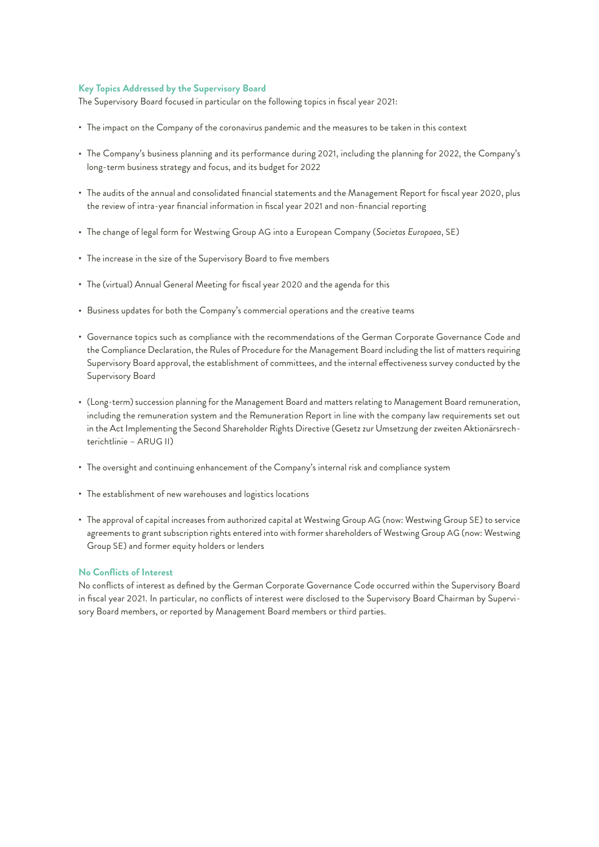## **Key Topics Addressed by the Supervisory Board**

The Supervisory Board focused in particular on the following topics in fiscal year 2021:

- The impact on the Company of the coronavirus pandemic and the measures to be taken in this context
- The Company's business planning and its performance during 2021, including the planning for 2022, the Company's long-term business strategy and focus, and its budget for 2022
- The audits of the annual and consolidated financial statements and the Management Report for fiscal year 2020, plus the review of intra-year financial information in fiscal year 2021 and non-financial reporting
- The change of legal form for Westwing Group AG into a European Company (*Societas Europaea*, SE)
- The increase in the size of the Supervisory Board to five members
- The (virtual) Annual General Meeting for fiscal year 2020 and the agenda for this
- Business updates for both the Company's commercial operations and the creative teams
- Governance topics such as compliance with the recommendations of the German Corporate Governance Code and the Compliance Declaration, the Rules of Procedure for the Management Board including the list of matters requiring Supervisory Board approval, the establishment of committees, and the internal effectiveness survey conducted by the Supervisory Board
- (Long-term) succession planning for the Management Board and matters relating to Management Board remuneration, including the remuneration system and the Remuneration Report in line with the company law requirements set out in the Act Implementing the Second Shareholder Rights Directive (Gesetz zur Umsetzung der zweiten Aktionärsrechterichtlinie – ARUG II)
- The oversight and continuing enhancement of the Company's internal risk and compliance system
- The establishment of new warehouses and logistics locations
- The approval of capital increases from authorized capital at Westwing Group AG (now: Westwing Group SE) to service agreements to grant subscription rights entered into with former shareholders of Westwing Group AG (now: Westwing Group SE) and former equity holders or lenders

#### **No Conflicts of Interest**

No conflicts of interest as defined by the German Corporate Governance Code occurred within the Supervisory Board in fiscal year 2021. In particular, no conflicts of interest were disclosed to the Supervisory Board Chairman by Supervisory Board members, or reported by Management Board members or third parties.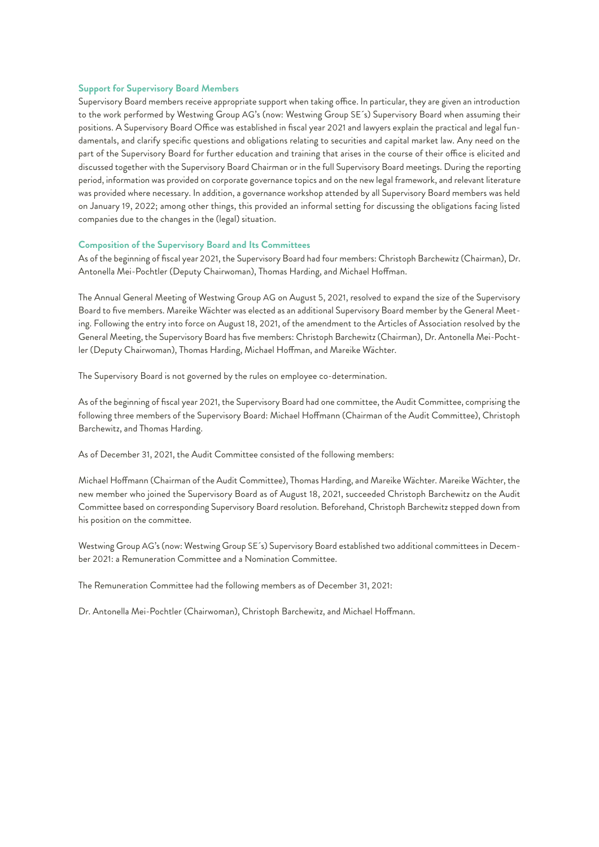## **Support for Supervisory Board Members**

Supervisory Board members receive appropriate support when taking office. In particular, they are given an introduction to the work performed by Westwing Group AG's (now: Westwing Group SE´s) Supervisory Board when assuming their positions. A Supervisory Board Office was established in fiscal year 2021 and lawyers explain the practical and legal fundamentals, and clarify specific questions and obligations relating to securities and capital market law. Any need on the part of the Supervisory Board for further education and training that arises in the course of their office is elicited and discussed together with the Supervisory Board Chairman or in the full Supervisory Board meetings. During the reporting period, information was provided on corporate governance topics and on the new legal framework, and relevant literature was provided where necessary. In addition, a governance workshop attended by all Supervisory Board members was held on January 19, 2022; among other things, this provided an informal setting for discussing the obligations facing listed companies due to the changes in the (legal) situation.

#### **Composition of the Supervisory Board and Its Committees**

As of the beginning of fiscal year 2021, the Supervisory Board had four members: Christoph Barchewitz (Chairman), Dr. Antonella Mei-Pochtler (Deputy Chairwoman), Thomas Harding, and Michael Hoffman.

The Annual General Meeting of Westwing Group AG on August 5, 2021, resolved to expand the size of the Supervisory Board to five members. Mareike Wächter was elected as an additional Supervisory Board member by the General Meeting. Following the entry into force on August 18, 2021, of the amendment to the Articles of Association resolved by the General Meeting, the Supervisory Board has five members: Christoph Barchewitz (Chairman), Dr. Antonella Mei-Pochtler (Deputy Chairwoman), Thomas Harding, Michael Hoffman, and Mareike Wächter.

The Supervisory Board is not governed by the rules on employee co-determination.

As of the beginning of fiscal year 2021, the Supervisory Board had one committee, the Audit Committee, comprising the following three members of the Supervisory Board: Michael Hoffmann (Chairman of the Audit Committee), Christoph Barchewitz, and Thomas Harding.

As of December 31, 2021, the Audit Committee consisted of the following members:

Michael Hoffmann (Chairman of the Audit Committee), Thomas Harding, and Mareike Wächter. Mareike Wächter, the new member who joined the Supervisory Board as of August 18, 2021, succeeded Christoph Barchewitz on the Audit Committee based on corresponding Supervisory Board resolution. Beforehand, Christoph Barchewitz stepped down from his position on the committee.

Westwing Group AG's (now: Westwing Group SE´s) Supervisory Board established two additional committees in December 2021: a Remuneration Committee and a Nomination Committee.

The Remuneration Committee had the following members as of December 31, 2021:

Dr. Antonella Mei-Pochtler (Chairwoman), Christoph Barchewitz, and Michael Hoffmann.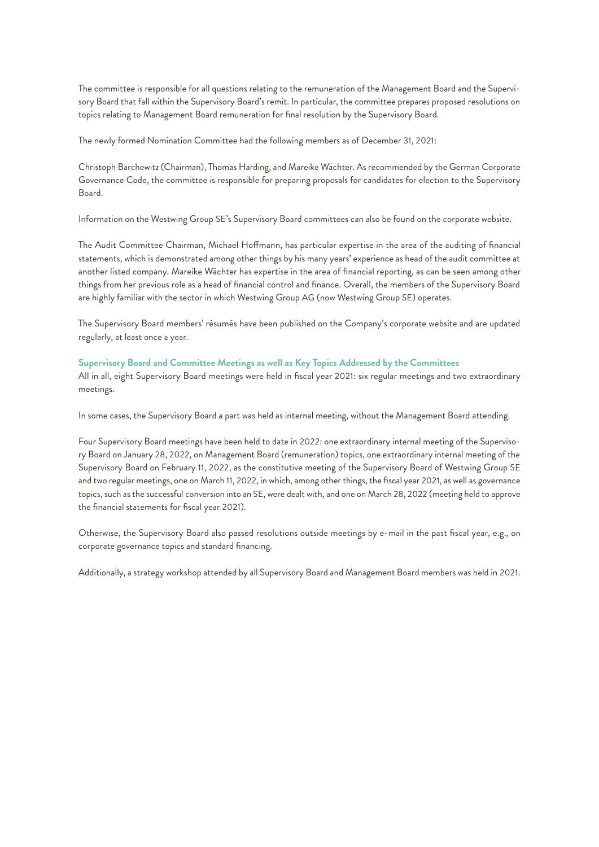The committee is responsible for all questions relating to the remuneration of the Management Board and the Supervisory Board that fall within the Supervisory Board's remit. In particular, the committee prepares proposed resolutions on topics relating to Management Board remuneration for final resolution by the Supervisory Board.

The newly formed Nomination Committee had the following members as of December 31, 2021:

Christoph Barchewitz (Chairman), Thomas Harding, and Mareike Wächter. As recommended by the German Corporate Governance Code, the committee is responsible for preparing proposals for candidates for election to the Supervisory Board.

Information on the Westwing Group SE's Supervisory Board committees can also be found on the corporate website.

The Audit Committee Chairman, Michael Hoffmann, has particular expertise in the area of the auditing of financial statements, which is demonstrated among other things by his many years' experience as head of the audit committee at another listed company. Mareike Wächter has expertise in the area of financial reporting, as can be seen among other things from her previous role as a head of financial control and finance. Overall, the members of the Supervisory Board are highly familiar with the sector in which Westwing Group AG (now Westwing Group SE) operates.

The Supervisory Board members' résumés have been published on the Company's corporate website and are updated regularly, at least once a year.

## **Supervisory Board and Committee Meetings as well as Key Topics Addressed by the Committees**

All in all, eight Supervisory Board meetings were held in fiscal year 2021: six regular meetings and two extraordinary meetings.

In some cases, the Supervisory Board a part was held as internal meeting, without the Management Board attending.

Four Supervisory Board meetings have been held to date in 2022: one extraordinary internal meeting of the Supervisory Board on January 28, 2022, on Management Board (remuneration) topics, one extraordinary internal meeting of the Supervisory Board on February 11, 2022, as the constitutive meeting of the Supervisory Board of Westwing Group SE and two regular meetings, one on March 11, 2022, in which, among other things, the fiscal year 2021, as well as governance topics, such as the successful conversion into an SE, were dealt with, and one on March 28, 2022 (meeting held to approve the financial statements for fiscal year 2021).

Otherwise, the Supervisory Board also passed resolutions outside meetings by e-mail in the past fiscal year, e.g., on corporate governance topics and standard financing.

Additionally, a strategy workshop attended by all Supervisory Board and Management Board members was held in 2021.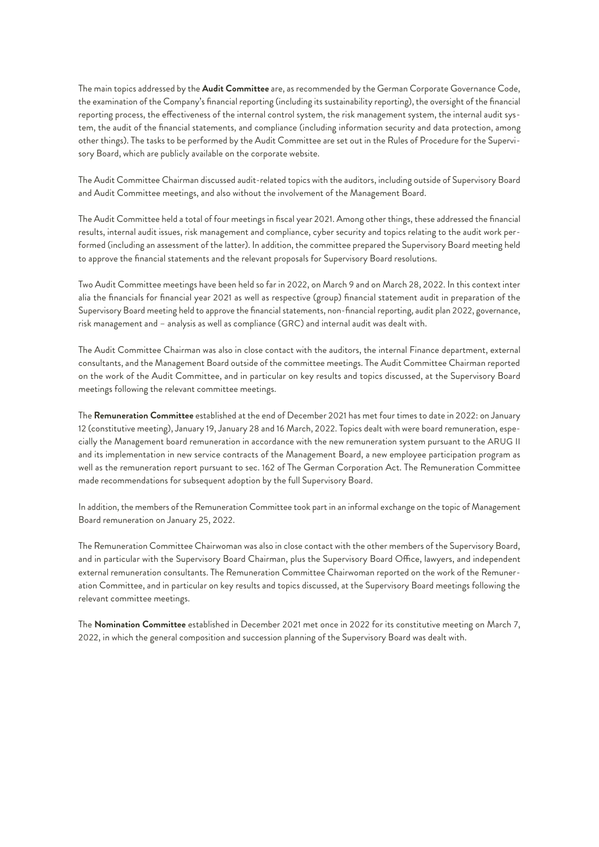The main topics addressed by the **Audit Committee** are, as recommended by the German Corporate Governance Code, the examination of the Company's financial reporting (including its sustainability reporting), the oversight of the financial reporting process, the effectiveness of the internal control system, the risk management system, the internal audit system, the audit of the financial statements, and compliance (including information security and data protection, among other things). The tasks to be performed by the Audit Committee are set out in the Rules of Procedure for the Supervisory Board, which are publicly available on the corporate website.

The Audit Committee Chairman discussed audit-related topics with the auditors, including outside of Supervisory Board and Audit Committee meetings, and also without the involvement of the Management Board.

The Audit Committee held a total of four meetings in fiscal year 2021. Among other things, these addressed the financial results, internal audit issues, risk management and compliance, cyber security and topics relating to the audit work performed (including an assessment of the latter). In addition, the committee prepared the Supervisory Board meeting held to approve the financial statements and the relevant proposals for Supervisory Board resolutions.

Two Audit Committee meetings have been held so far in 2022, on March 9 and on March 28, 2022. In this context inter alia the financials for financial year 2021 as well as respective (group) financial statement audit in preparation of the Supervisory Board meeting held to approve the financial statements, non-financial reporting, audit plan 2022, governance, risk management and – analysis as well as compliance (GRC) and internal audit was dealt with.

The Audit Committee Chairman was also in close contact with the auditors, the internal Finance department, external consultants, and the Management Board outside of the committee meetings. The Audit Committee Chairman reported on the work of the Audit Committee, and in particular on key results and topics discussed, at the Supervisory Board meetings following the relevant committee meetings.

The **Remuneration Committee** established at the end of December 2021 has met four times to date in 2022: on January 12 (constitutive meeting), January 19, January 28 and 16 March, 2022. Topics dealt with were board remuneration, especially the Management board remuneration in accordance with the new remuneration system pursuant to the ARUG II and its implementation in new service contracts of the Management Board, a new employee participation program as well as the remuneration report pursuant to sec. 162 of The German Corporation Act. The Remuneration Committee made recommendations for subsequent adoption by the full Supervisory Board.

In addition, the members of the Remuneration Committee took part in an informal exchange on the topic of Management Board remuneration on January 25, 2022.

The Remuneration Committee Chairwoman was also in close contact with the other members of the Supervisory Board, and in particular with the Supervisory Board Chairman, plus the Supervisory Board Office, lawyers, and independent external remuneration consultants. The Remuneration Committee Chairwoman reported on the work of the Remuneration Committee, and in particular on key results and topics discussed, at the Supervisory Board meetings following the relevant committee meetings.

The **Nomination Committee** established in December 2021 met once in 2022 for its constitutive meeting on March 7, 2022, in which the general composition and succession planning of the Supervisory Board was dealt with.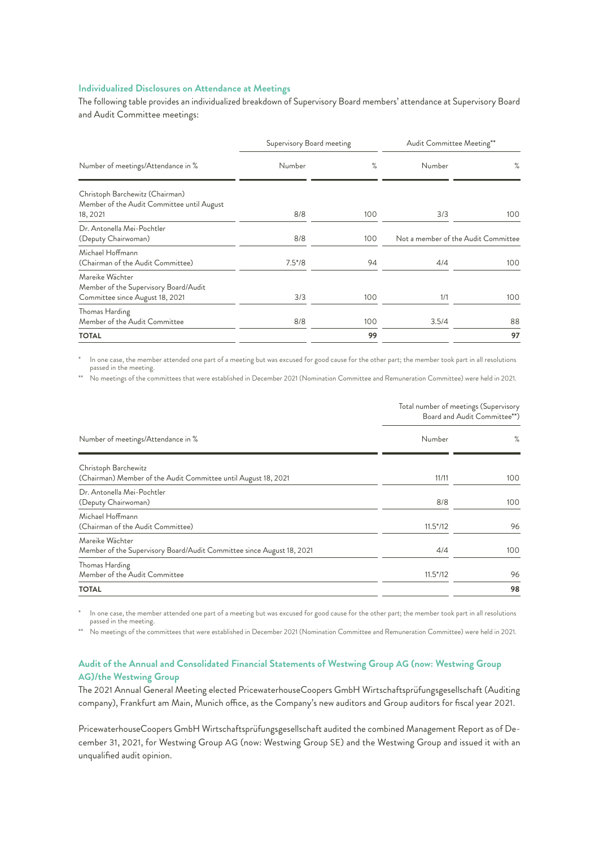## **Individualized Disclosures on Attendance at Meetings**

The following table provides an individualized breakdown of Supervisory Board members' attendance at Supervisory Board and Audit Committee meetings:

| Number of meetings/Attendance in %                                                          | Supervisory Board meeting |     | Audit Committee Meeting**           |      |
|---------------------------------------------------------------------------------------------|---------------------------|-----|-------------------------------------|------|
|                                                                                             | Number                    | ℅   | Number                              | $\%$ |
| Christoph Barchewitz (Chairman)<br>Member of the Audit Committee until August<br>18, 2021   | 8/8                       | 100 | 3/3                                 | 100  |
| Dr. Antonella Mei-Pochtler<br>(Deputy Chairwoman)                                           | 8/8                       | 100 | Not a member of the Audit Committee |      |
| Michael Hoffmann<br>(Chairman of the Audit Committee)                                       | $7.5*/8$                  | 94  | 4/4                                 | 100  |
| Mareike Wächter<br>Member of the Supervisory Board/Audit<br>Committee since August 18, 2021 | 3/3                       | 100 | 1/1                                 | 100  |
| Thomas Harding<br>Member of the Audit Committee                                             | 8/8                       | 100 | 3.5/4                               | 88   |
| <b>TOTAL</b>                                                                                |                           | 99  |                                     | 97   |

In one case, the member attended one part of a meeting but was excused for good cause for the other part; the member took part in all resolutions passed in the meeting.

\*\* No meetings of the committees that were established in December 2021 (Nomination Committee and Remuneration Committee) were held in 2021.

Total number of meetings (Supervisory

|                                                                                          | Board and Audit Committee**) |      |
|------------------------------------------------------------------------------------------|------------------------------|------|
| Number of meetings/Attendance in %                                                       | Number                       | $\%$ |
| Christoph Barchewitz<br>(Chairman) Member of the Audit Committee until August 18, 2021   | 11/11                        | 100  |
| Dr. Antonella Mei-Pochtler<br>(Deputy Chairwoman)                                        | 8/8                          | 100  |
| Michael Hoffmann<br>(Chairman of the Audit Committee)                                    | $11.5*/12$                   | 96   |
| Mareike Wächter<br>Member of the Supervisory Board/Audit Committee since August 18, 2021 | 4/4                          | 100  |
| Thomas Harding<br>Member of the Audit Committee                                          | $11.5*/12$                   | 96   |
| <b>TOTAL</b>                                                                             |                              | 98   |

\* In one case, the member attended one part of a meeting but was excused for good cause for the other part; the member took part in all resolutions passed in the meeting.

\*\* No meetings of the committees that were established in December 2021 (Nomination Committee and Remuneration Committee) were held in 2021.

## **Audit of the Annual and Consolidated Financial Statements of Westwing Group AG (now: Westwing Group AG)/the Westwing Group**

The 2021 Annual General Meeting elected PricewaterhouseCoopers GmbH Wirtschaftsprüfungsgesellschaft (Auditing company), Frankfurt am Main, Munich office, as the Company's new auditors and Group auditors for fiscal year 2021.

PricewaterhouseCoopers GmbH Wirtschaftsprüfungsgesellschaft audited the combined Management Report as of December 31, 2021, for Westwing Group AG (now: Westwing Group SE) and the Westwing Group and issued it with an unqualified audit opinion.